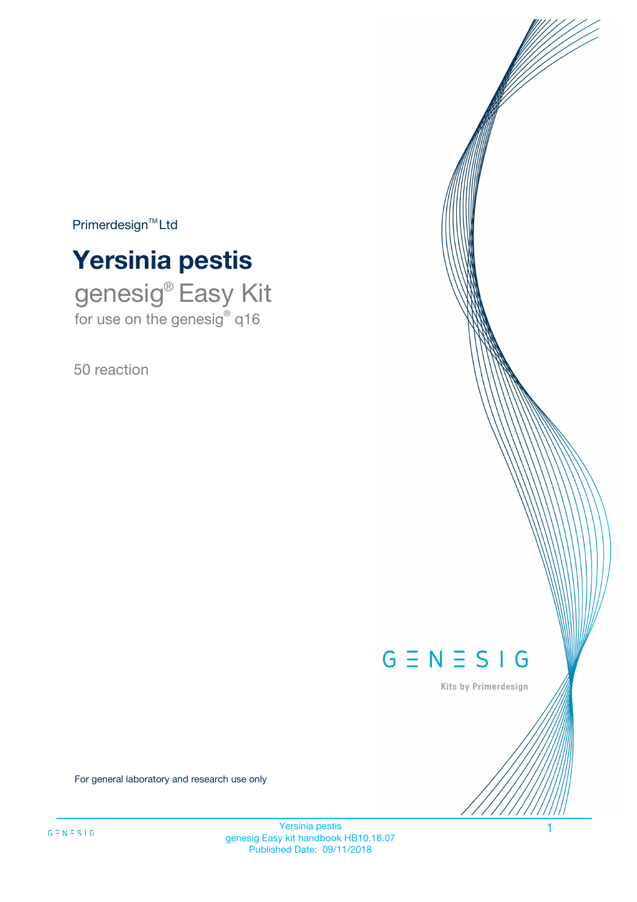$Primerdesign^{\text{TM}}Ltd$ 



genesig® Easy Kit for use on the genesig® q16

50 reaction



Kits by Primerdesign

For general laboratory and research use only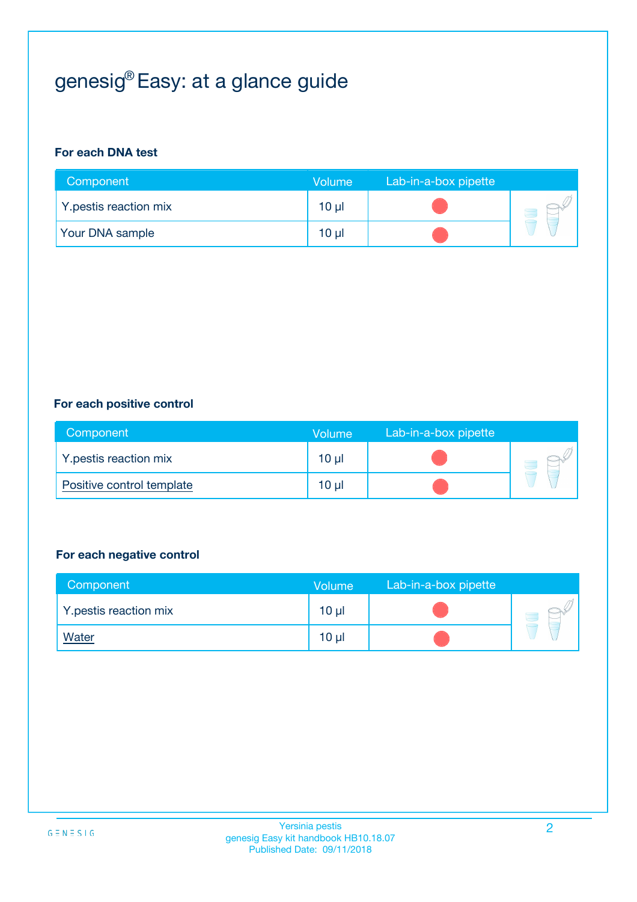# genesig® Easy: at a glance guide

#### **For each DNA test**

| Component              | <b>Volume</b>   | Lab-in-a-box pipette |  |
|------------------------|-----------------|----------------------|--|
| Y.pestis reaction mix  | 10 µl           |                      |  |
| <b>Your DNA sample</b> | 10 <sub>µ</sub> |                      |  |

#### **For each positive control**

| Component                 | Volume          | Lab-in-a-box pipette |  |
|---------------------------|-----------------|----------------------|--|
| Y.pestis reaction mix     | 10 <sub>µ</sub> |                      |  |
| Positive control template | $10 \mu$        |                      |  |

#### **For each negative control**

| Component             | Volume          | Lab-in-a-box pipette |  |
|-----------------------|-----------------|----------------------|--|
| Y.pestis reaction mix | 10 <sub>µ</sub> |                      |  |
| <b>Water</b>          | 10 <sub>µ</sub> |                      |  |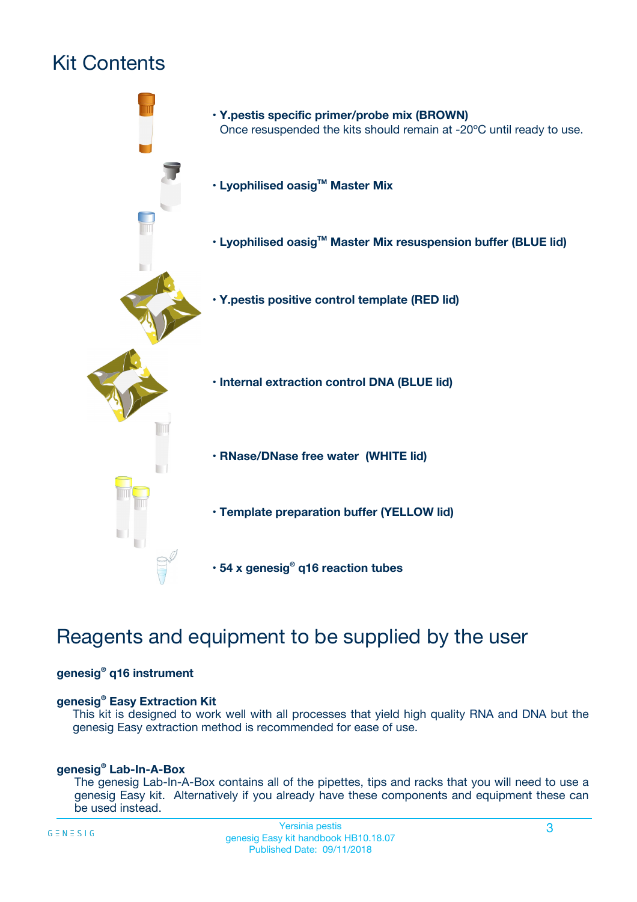# Kit Contents



# Reagents and equipment to be supplied by the user

#### **genesig® q16 instrument**

#### **genesig® Easy Extraction Kit**

This kit is designed to work well with all processes that yield high quality RNA and DNA but the genesig Easy extraction method is recommended for ease of use.

#### **genesig® Lab-In-A-Box**

The genesig Lab-In-A-Box contains all of the pipettes, tips and racks that you will need to use a genesig Easy kit. Alternatively if you already have these components and equipment these can be used instead.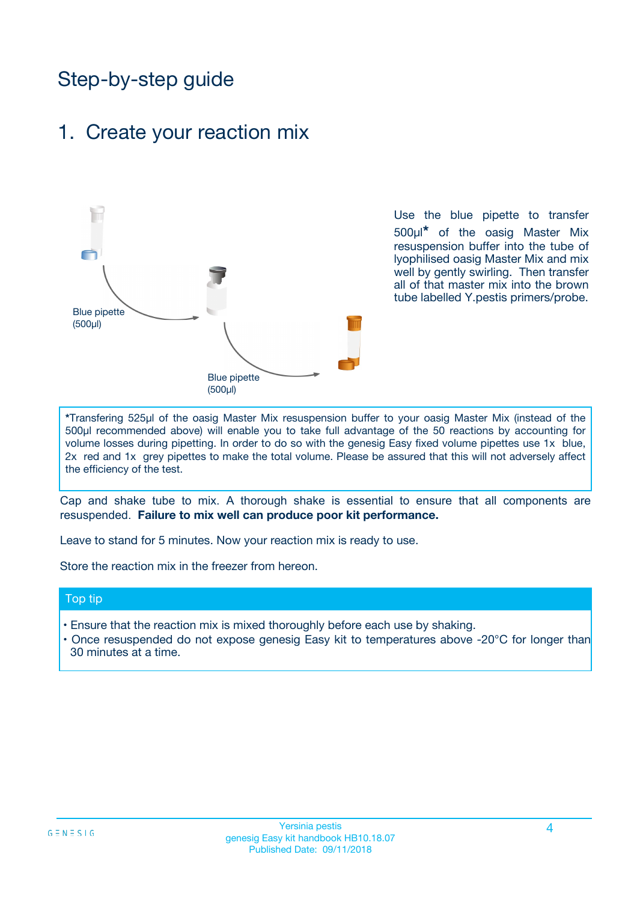# Step-by-step guide

### 1. Create your reaction mix



Use the blue pipette to transfer 500µl**\*** of the oasig Master Mix resuspension buffer into the tube of lyophilised oasig Master Mix and mix well by gently swirling. Then transfer all of that master mix into the brown tube labelled Y.pestis primers/probe.

**\***Transfering 525µl of the oasig Master Mix resuspension buffer to your oasig Master Mix (instead of the 500µl recommended above) will enable you to take full advantage of the 50 reactions by accounting for volume losses during pipetting. In order to do so with the genesig Easy fixed volume pipettes use 1x blue, 2x red and 1x grey pipettes to make the total volume. Please be assured that this will not adversely affect the efficiency of the test.

Cap and shake tube to mix. A thorough shake is essential to ensure that all components are resuspended. **Failure to mix well can produce poor kit performance.**

Leave to stand for 5 minutes. Now your reaction mix is ready to use.

Store the reaction mix in the freezer from hereon.

#### Top tip

- Ensure that the reaction mix is mixed thoroughly before each use by shaking.
- **•** Once resuspended do not expose genesig Easy kit to temperatures above -20°C for longer than 30 minutes at a time.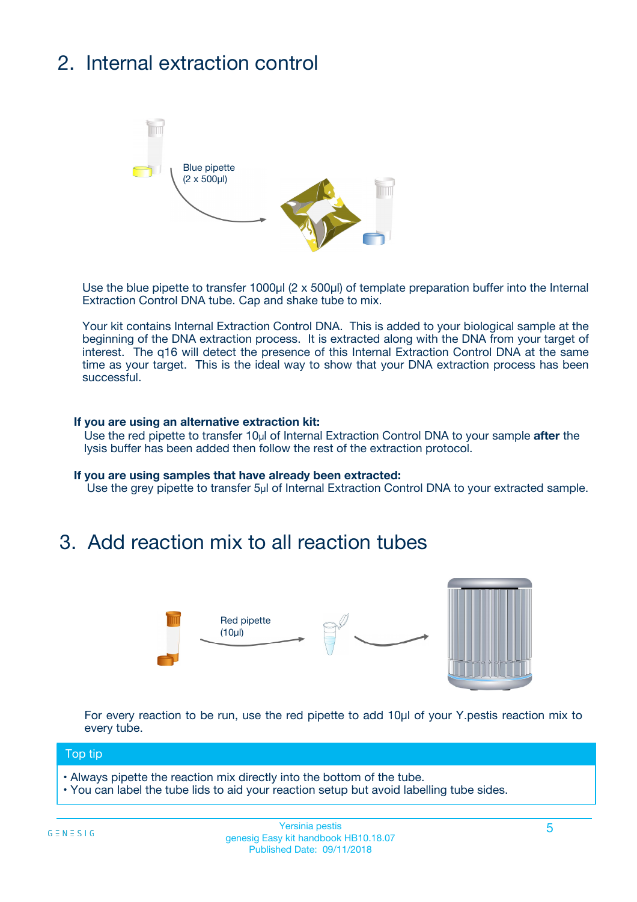# 2. Internal extraction control



Use the blue pipette to transfer 1000µl (2 x 500µl) of template preparation buffer into the Internal Extraction Control DNA tube. Cap and shake tube to mix.

Your kit contains Internal Extraction Control DNA. This is added to your biological sample at the beginning of the DNA extraction process. It is extracted along with the DNA from your target of interest. The q16 will detect the presence of this Internal Extraction Control DNA at the same time as your target. This is the ideal way to show that your DNA extraction process has been successful.

#### **If you are using an alternative extraction kit:**

Use the red pipette to transfer 10µl of Internal Extraction Control DNA to your sample **after** the lysis buffer has been added then follow the rest of the extraction protocol.

#### **If you are using samples that have already been extracted:**

Use the grey pipette to transfer 5µl of Internal Extraction Control DNA to your extracted sample.

## 3. Add reaction mix to all reaction tubes



For every reaction to be run, use the red pipette to add 10µl of your Y.pestis reaction mix to every tube.

#### Top tip

- Always pipette the reaction mix directly into the bottom of the tube.
- You can label the tube lids to aid your reaction setup but avoid labelling tube sides.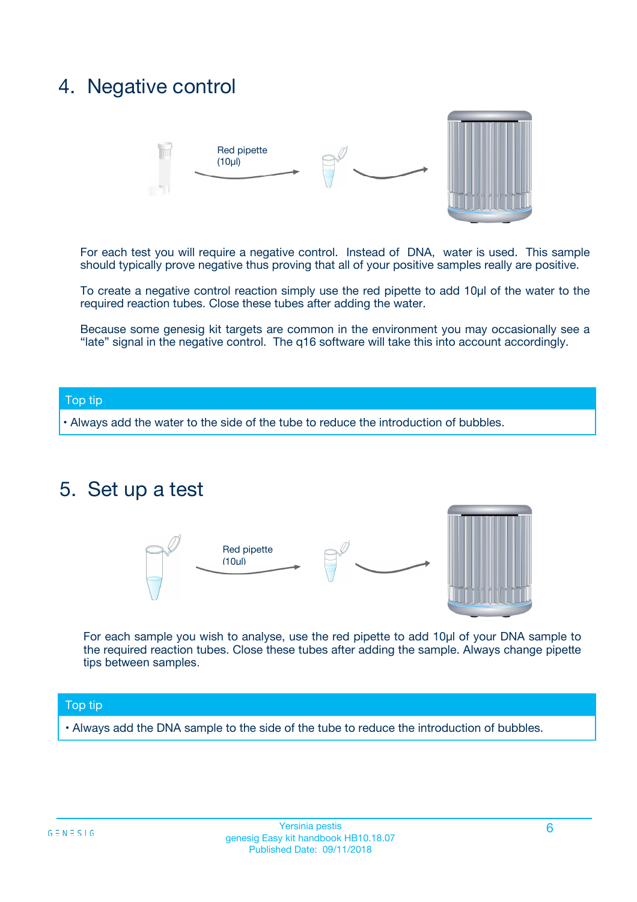## 4. Negative control



For each test you will require a negative control. Instead of DNA, water is used. This sample should typically prove negative thus proving that all of your positive samples really are positive.

To create a negative control reaction simply use the red pipette to add 10µl of the water to the required reaction tubes. Close these tubes after adding the water.

Because some genesig kit targets are common in the environment you may occasionally see a "late" signal in the negative control. The q16 software will take this into account accordingly.

#### Top tip

**•** Always add the water to the side of the tube to reduce the introduction of bubbles.

### 5. Set up a test



For each sample you wish to analyse, use the red pipette to add 10µl of your DNA sample to the required reaction tubes. Close these tubes after adding the sample. Always change pipette tips between samples.

#### Top tip

**•** Always add the DNA sample to the side of the tube to reduce the introduction of bubbles.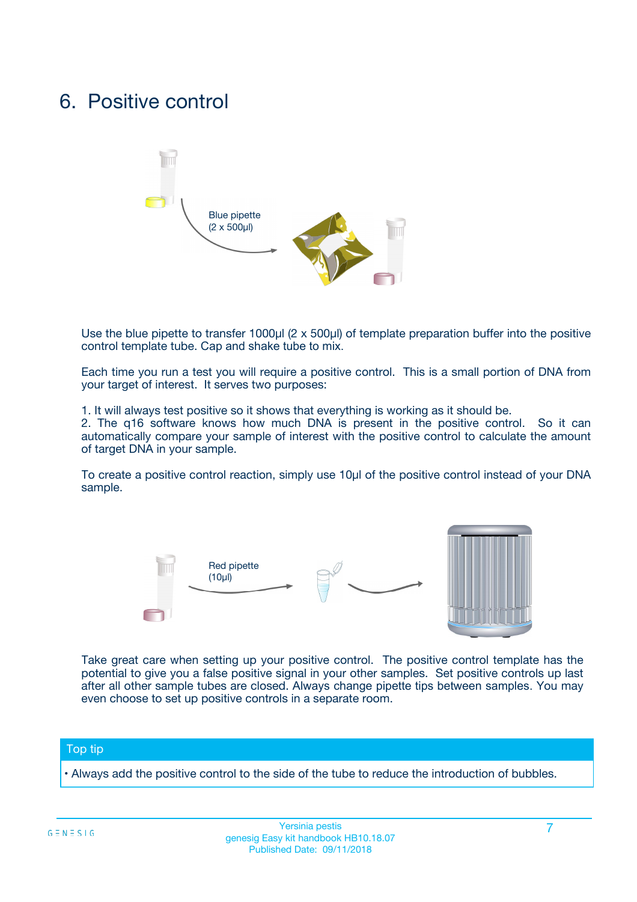## 6. Positive control



Use the blue pipette to transfer 1000µl (2 x 500µl) of template preparation buffer into the positive control template tube. Cap and shake tube to mix.

Each time you run a test you will require a positive control. This is a small portion of DNA from your target of interest. It serves two purposes:

1. It will always test positive so it shows that everything is working as it should be.

2. The q16 software knows how much DNA is present in the positive control. So it can automatically compare your sample of interest with the positive control to calculate the amount of target DNA in your sample.

To create a positive control reaction, simply use 10µl of the positive control instead of your DNA sample.



Take great care when setting up your positive control. The positive control template has the potential to give you a false positive signal in your other samples. Set positive controls up last after all other sample tubes are closed. Always change pipette tips between samples. You may even choose to set up positive controls in a separate room.

#### Top tip

**•** Always add the positive control to the side of the tube to reduce the introduction of bubbles.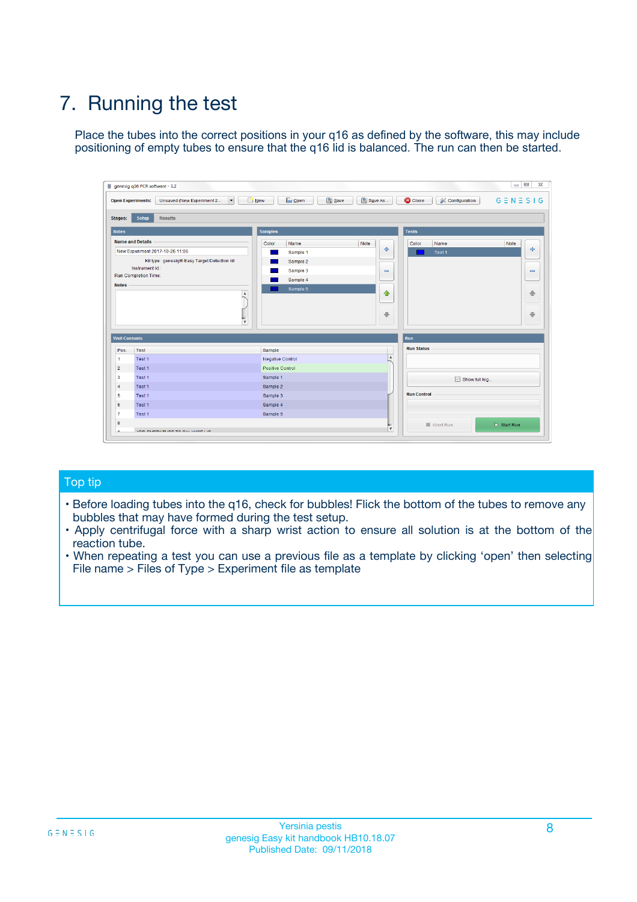# 7. Running the test

Place the tubes into the correct positions in your q16 as defined by the software, this may include positioning of empty tubes to ensure that the q16 lid is balanced. The run can then be started.

| qenesig q16 PCR software - 1.2                                               |                                   | $\Box$                                                                                          |
|------------------------------------------------------------------------------|-----------------------------------|-------------------------------------------------------------------------------------------------|
| $\vert \cdot \vert$<br>Unsaved (New Experiment 2<br><b>Open Experiments:</b> | <b>D</b> Open<br>R <sub>New</sub> | Save<br>Save As<br><b>C</b> Close<br><b>&amp; Configuration</b><br>$G \equiv N \equiv S \mid G$ |
| <b>Setup</b><br><b>Results</b><br>Stages:                                    |                                   |                                                                                                 |
| <b>Notes</b>                                                                 | <b>Samples</b>                    | <b>Tests</b>                                                                                    |
| <b>Name and Details</b>                                                      | Name<br>Color                     | Note<br>Color<br>Note<br>Name                                                                   |
| New Experiment 2017-10-26 11:06                                              | Sample 1                          | ÷<br>条<br>Test 1                                                                                |
| Kit type: genesig® Easy Target Detection kit                                 | Sample 2                          |                                                                                                 |
| Instrument Id.:                                                              | Sample 3                          | $\qquad \qquad \blacksquare$<br>$\qquad \qquad \blacksquare$                                    |
| <b>Run Completion Time:</b>                                                  | Sample 4                          |                                                                                                 |
| <b>Notes</b><br><b>A</b><br>$\overline{\mathbf v}$                           | Sample 5                          | ♦<br>4<br>÷<br>₩                                                                                |
| <b>Well Contents</b>                                                         |                                   | <b>Run</b>                                                                                      |
| Pos.<br>Test                                                                 | Sample                            | <b>Run Status</b>                                                                               |
| Test 1<br>$\blacktriangleleft$                                               | Negative Control                  | $\blacktriangle$                                                                                |
| $\overline{2}$<br>Test 1                                                     | <b>Positive Control</b>           |                                                                                                 |
| $\overline{\mathbf{3}}$<br>Test 1                                            | Sample 1                          | Show full log                                                                                   |
| Test 1<br>4                                                                  | Sample 2                          |                                                                                                 |
| 5<br>Test 1                                                                  | Sample 3                          | <b>Run Control</b>                                                                              |
| Test 1<br>6                                                                  | Sample 4                          |                                                                                                 |
| $\overline{7}$<br>Test 1                                                     | Sample 5                          |                                                                                                 |
| 8                                                                            |                                   | $\triangleright$ Start Run<br>Abort Run                                                         |
| <b>JOD FURTY TUDE TO BUILDED IN</b>                                          |                                   | $\overline{\mathbf{v}}$                                                                         |

#### Top tip

- Before loading tubes into the q16, check for bubbles! Flick the bottom of the tubes to remove any bubbles that may have formed during the test setup.
- Apply centrifugal force with a sharp wrist action to ensure all solution is at the bottom of the reaction tube.
- When repeating a test you can use a previous file as a template by clicking 'open' then selecting File name > Files of Type > Experiment file as template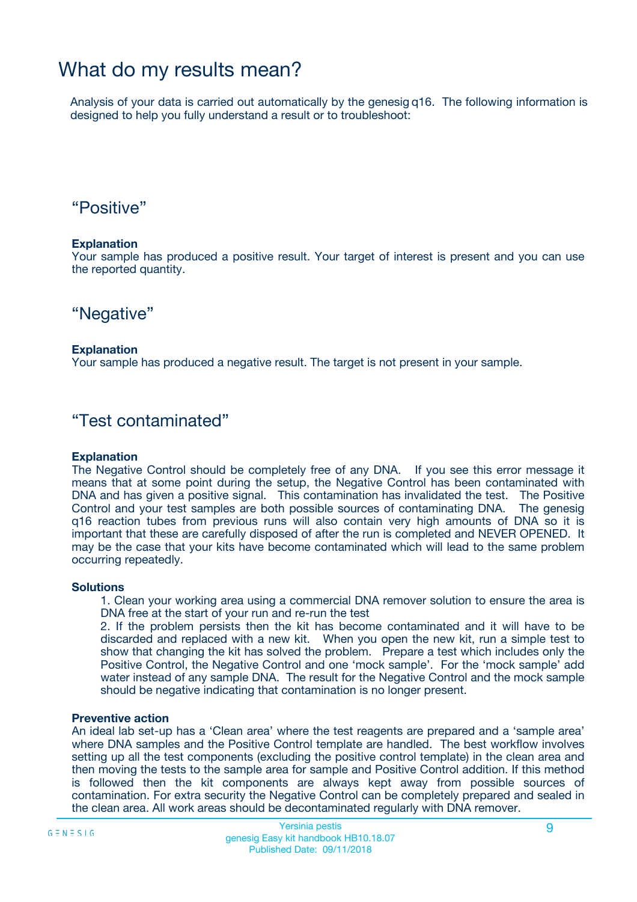## What do my results mean?

Analysis of your data is carried out automatically by the genesig q16. The following information is designed to help you fully understand a result or to troubleshoot:

### "Positive"

#### **Explanation**

Your sample has produced a positive result. Your target of interest is present and you can use the reported quantity.

"Negative"

#### **Explanation**

Your sample has produced a negative result. The target is not present in your sample.

### "Test contaminated"

#### **Explanation**

The Negative Control should be completely free of any DNA. If you see this error message it means that at some point during the setup, the Negative Control has been contaminated with DNA and has given a positive signal. This contamination has invalidated the test. The Positive Control and your test samples are both possible sources of contaminating DNA. The genesig q16 reaction tubes from previous runs will also contain very high amounts of DNA so it is important that these are carefully disposed of after the run is completed and NEVER OPENED. It may be the case that your kits have become contaminated which will lead to the same problem occurring repeatedly.

#### **Solutions**

1. Clean your working area using a commercial DNA remover solution to ensure the area is DNA free at the start of your run and re-run the test

2. If the problem persists then the kit has become contaminated and it will have to be discarded and replaced with a new kit. When you open the new kit, run a simple test to show that changing the kit has solved the problem. Prepare a test which includes only the Positive Control, the Negative Control and one 'mock sample'. For the 'mock sample' add water instead of any sample DNA. The result for the Negative Control and the mock sample should be negative indicating that contamination is no longer present.

#### **Preventive action**

An ideal lab set-up has a 'Clean area' where the test reagents are prepared and a 'sample area' where DNA samples and the Positive Control template are handled. The best workflow involves setting up all the test components (excluding the positive control template) in the clean area and then moving the tests to the sample area for sample and Positive Control addition. If this method is followed then the kit components are always kept away from possible sources of contamination. For extra security the Negative Control can be completely prepared and sealed in the clean area. All work areas should be decontaminated regularly with DNA remover.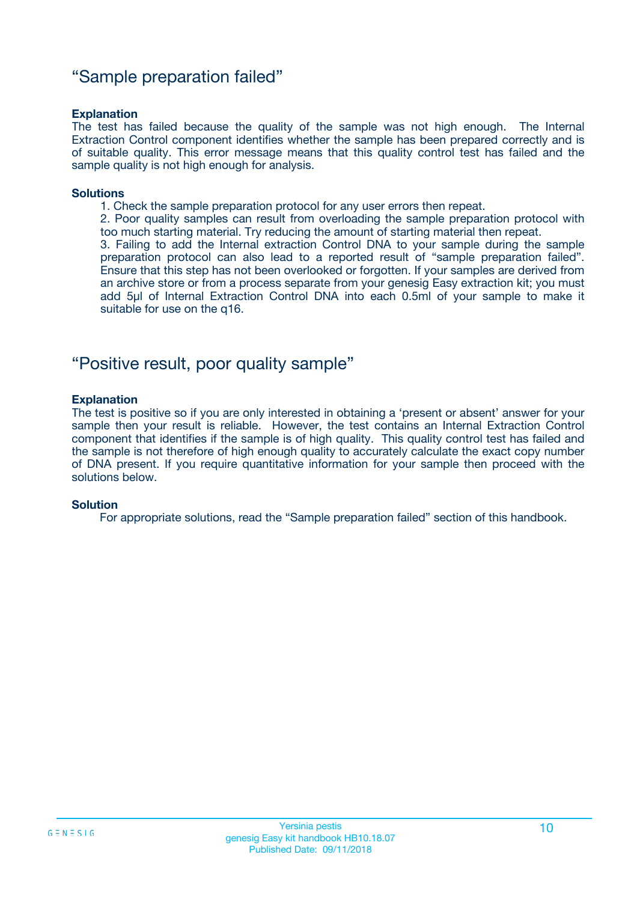### "Sample preparation failed"

#### **Explanation**

The test has failed because the quality of the sample was not high enough. The Internal Extraction Control component identifies whether the sample has been prepared correctly and is of suitable quality. This error message means that this quality control test has failed and the sample quality is not high enough for analysis.

#### **Solutions**

1. Check the sample preparation protocol for any user errors then repeat.

2. Poor quality samples can result from overloading the sample preparation protocol with too much starting material. Try reducing the amount of starting material then repeat.

3. Failing to add the Internal extraction Control DNA to your sample during the sample preparation protocol can also lead to a reported result of "sample preparation failed". Ensure that this step has not been overlooked or forgotten. If your samples are derived from an archive store or from a process separate from your genesig Easy extraction kit; you must add 5µl of Internal Extraction Control DNA into each 0.5ml of your sample to make it suitable for use on the q16.

### "Positive result, poor quality sample"

#### **Explanation**

The test is positive so if you are only interested in obtaining a 'present or absent' answer for your sample then your result is reliable. However, the test contains an Internal Extraction Control component that identifies if the sample is of high quality. This quality control test has failed and the sample is not therefore of high enough quality to accurately calculate the exact copy number of DNA present. If you require quantitative information for your sample then proceed with the solutions below.

#### **Solution**

For appropriate solutions, read the "Sample preparation failed" section of this handbook.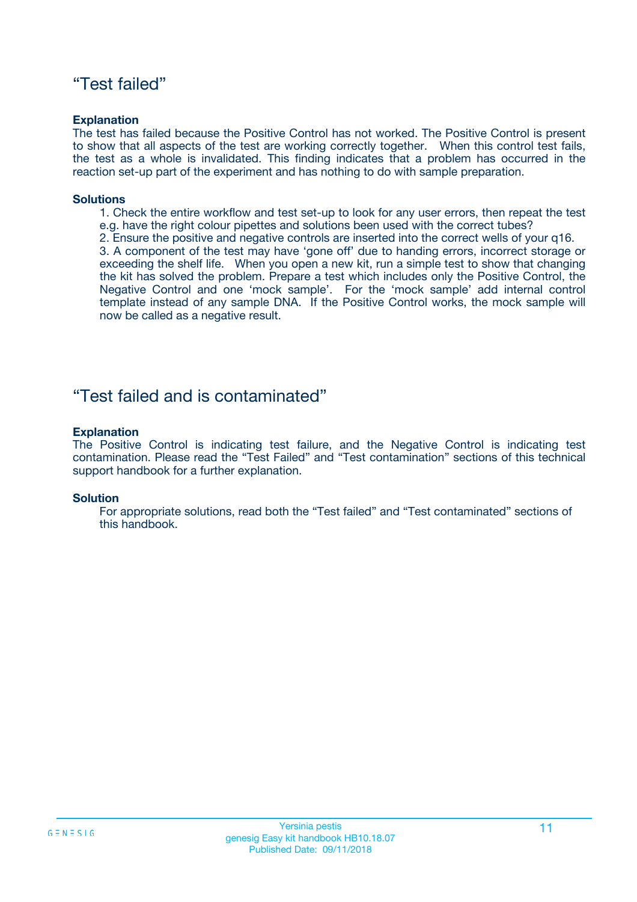### "Test failed"

#### **Explanation**

The test has failed because the Positive Control has not worked. The Positive Control is present to show that all aspects of the test are working correctly together. When this control test fails, the test as a whole is invalidated. This finding indicates that a problem has occurred in the reaction set-up part of the experiment and has nothing to do with sample preparation.

#### **Solutions**

- 1. Check the entire workflow and test set-up to look for any user errors, then repeat the test e.g. have the right colour pipettes and solutions been used with the correct tubes?
- 2. Ensure the positive and negative controls are inserted into the correct wells of your q16.

3. A component of the test may have 'gone off' due to handing errors, incorrect storage or exceeding the shelf life. When you open a new kit, run a simple test to show that changing the kit has solved the problem. Prepare a test which includes only the Positive Control, the Negative Control and one 'mock sample'. For the 'mock sample' add internal control template instead of any sample DNA. If the Positive Control works, the mock sample will now be called as a negative result.

### "Test failed and is contaminated"

#### **Explanation**

The Positive Control is indicating test failure, and the Negative Control is indicating test contamination. Please read the "Test Failed" and "Test contamination" sections of this technical support handbook for a further explanation.

#### **Solution**

For appropriate solutions, read both the "Test failed" and "Test contaminated" sections of this handbook.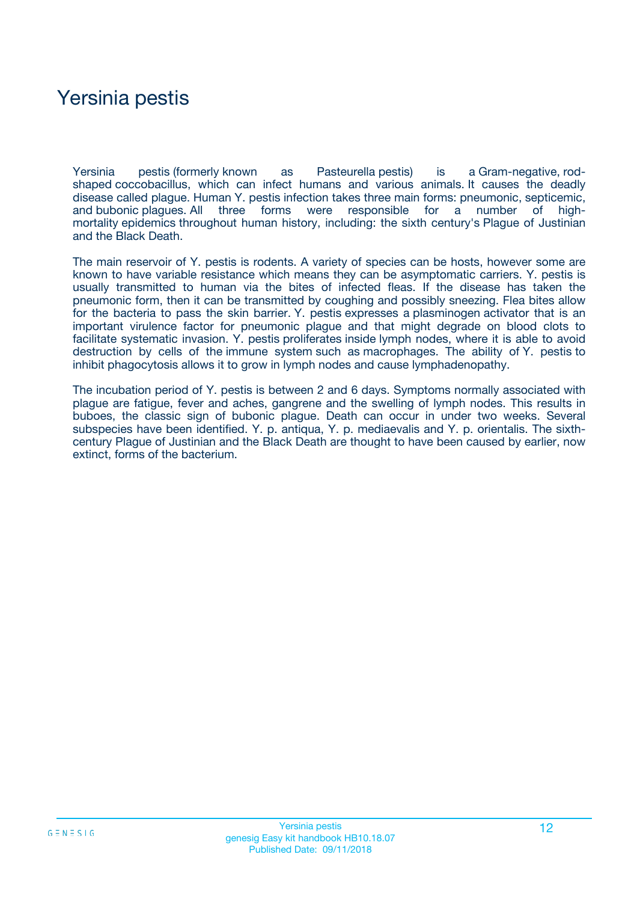## Yersinia pestis

Yersinia pestis (formerly known as Pasteurella pestis) is a Gram-negative, rodshaped coccobacillus, which can infect humans and various animals. It causes the deadly disease called plague. Human Y. pestis infection takes three main forms: pneumonic, septicemic, and bubonic plagues. All three forms were responsible for a number of highmortality epidemics throughout human history, including: the sixth century's Plague of Justinian and the Black Death.

The main reservoir of Y. pestis is rodents. A variety of species can be hosts, however some are known to have variable resistance which means they can be asymptomatic carriers. Y. pestis is usually transmitted to human via the bites of infected fleas. If the disease has taken the pneumonic form, then it can be transmitted by coughing and possibly sneezing. Flea bites allow for the bacteria to pass the skin barrier. Y. pestis expresses a plasminogen activator that is an important virulence factor for pneumonic plague and that might degrade on blood clots to facilitate systematic invasion. Y. pestis proliferates inside lymph nodes, where it is able to avoid destruction by cells of the immune system such as macrophages. The ability of Y. pestis to inhibit phagocytosis allows it to grow in lymph nodes and cause lymphadenopathy.

The incubation period of Y. pestis is between 2 and 6 days. Symptoms normally associated with plague are fatigue, fever and aches, gangrene and the swelling of lymph nodes. This results in buboes, the classic sign of bubonic plague. Death can occur in under two weeks. Several subspecies have been identified. Y. p. antiqua, Y. p. mediaevalis and Y. p. orientalis. The sixthcentury Plague of Justinian and the Black Death are thought to have been caused by earlier, now extinct, forms of the bacterium.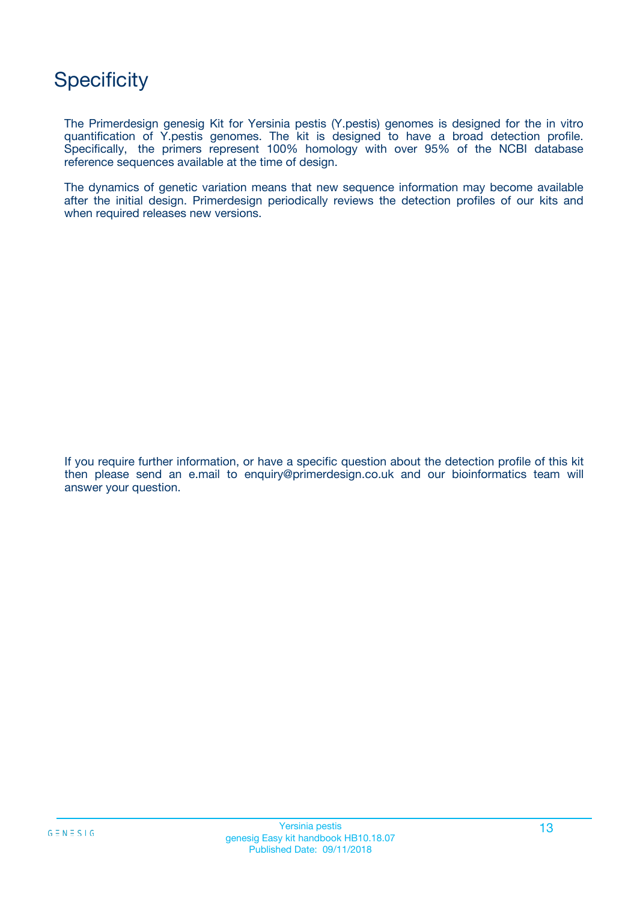# **Specificity**

The Primerdesign genesig Kit for Yersinia pestis (Y.pestis) genomes is designed for the in vitro quantification of Y.pestis genomes. The kit is designed to have a broad detection profile. Specifically, the primers represent 100% homology with over 95% of the NCBI database reference sequences available at the time of design.

The dynamics of genetic variation means that new sequence information may become available after the initial design. Primerdesign periodically reviews the detection profiles of our kits and when required releases new versions.

If you require further information, or have a specific question about the detection profile of this kit then please send an e.mail to enquiry@primerdesign.co.uk and our bioinformatics team will answer your question.